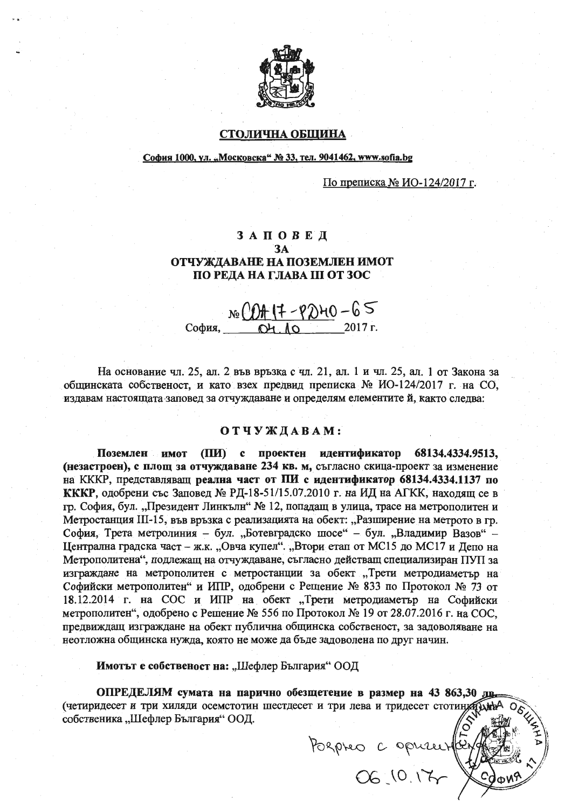

## СТОЛИЧНА ОБЩИНА

### София 1000, ул. "Московска" № 33, тел. 9041462, www.sofia.bg

По преписка № ИО-124/2017 г.

# ЗАПОВЕД **3A** ОТЧУЖДАВАНЕ НА ПОЗЕМЛЕН ИМОТ ПО РЕДА НА ГЛАВА III ОТ ЗОС

 $N_e \frac{OH (7 - P)H0 - 65}{OH A0}$  2017 r. София.

На основание чл. 25, ал. 2 във връзка с чл. 21, ал. 1 и чл. 25, ал. 1 от Закона за общинската собственост, и като взех предвид преписка № ИО-124/2017 г. на СО, издавам настоящата заповед за отчуждаване и определям елементите й, както следва:

#### ОТЧУЖДАВАМ:

Поземлен имот (ПИ) с проектен идентификатор 68134.4334.9513. (незастроен), с площ за отчуждаване 234 кв. м, съгласно скица-проект за изменение на КККР, представляващ реална част от ПИ с идентификатор 68134.4334.1137 по КККР, одобрени със Заповед № РД-18-51/15.07.2010 г. на ИД на АГКК, находящ се в гр. София, бул. "Президент Линкълн" № 12, попадащ в улица, трасе на метрополитен и Метростанция III-15, във връзка с реализацията на обект: "Разширение на метрото в гр. София, Трета метролиния - бул. "Ботевградско шосе" - бул. "Владимир Вазов" -Централна градска част – ж.к. "Овча купел". "Втори етап от МС15 до МС17 и Депо на Метрополитена", подлежащ на отчуждаване, съгласно действащ специализиран ПУП за изграждане на метрополитен с метростанции за обект "Трети метродиаметър на Софийски метрополитен" и ИПР, одобрени с Решение № 833 по Протокол № 73 от 18.12.2014 г. на СОС и ИПР на обект "Трети метродиаметър на Софийски метрополитен", одобрено с Решение № 556 по Протокол № 19 от 28.07.2016 г. на СОС. предвиждащ изграждане на обект публична общинска собственост, за задоволяване на неотложна общинска нужда, която не може да бъде задоволена по друг начин.

Имотът е собственост на: "Шефлер България" ООД

ОПРЕДЕЛЯМ сумата на парично обезщетение в размер на 43 863,30 лв. (четиридесет и три хиляди осемстотин шестдесет и три лева и тридесет стотинул) htm собственика "Шефлер България" ООД.

Pospro copusurfer